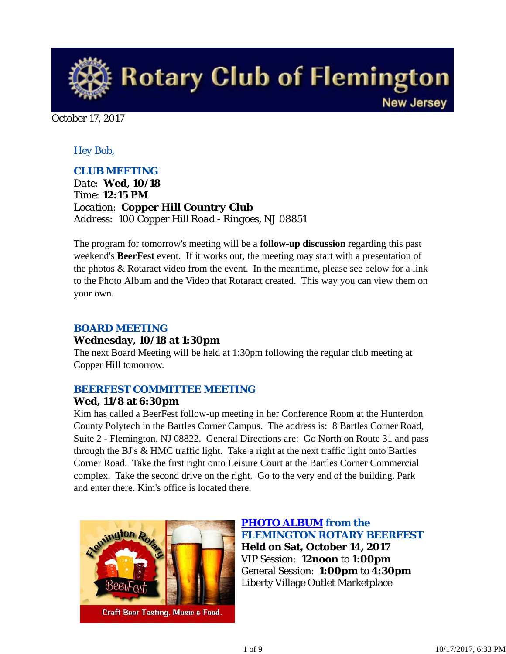

October 17, 2017

### *Hey Bob,*

### *CLUB MEETING*

*Date: Wed, 10/18 Time: 12:15 PM Location: Copper Hill Country Club Address: 100 Copper Hill Road - Ringoes, NJ 08851*

The program for tomorrow's meeting will be a **follow-up discussion** regarding this past weekend's **BeerFest** event. If it works out, the meeting may start with a presentation of the photos & Rotaract video from the event. In the meantime, please see below for a link to the Photo Album and the Video that Rotaract created. This way you can view them on your own.

#### *BOARD MEETING*

### **Wednesday, 10/18 at 1:30pm**

The next Board Meeting will be held at 1:30pm following the regular club meeting at Copper Hill tomorrow.

### *BEERFEST COMMITTEE MEETING*

### **Wed, 11/8 at 6:30pm**

Kim has called a BeerFest follow-up meeting in her Conference Room at the Hunterdon County Polytech in the Bartles Corner Campus. The address is: 8 Bartles Corner Road, Suite 2 - Flemington, NJ 08822. General Directions are: Go North on Route 31 and pass through the BJ's & HMC traffic light. Take a right at the next traffic light onto Bartles Corner Road. Take the first right onto Leisure Court at the Bartles Corner Commercial complex. Take the second drive on the right. Go to the very end of the building. Park and enter there. Kim's office is located there.



**Craft Beer Tasting, Music & Food.** 

*PHOTO ALBUM from the FLEMINGTON ROTARY BEERFEST* **Held on Sat, October 14, 2017** VIP Session: **12noon** to **1:00pm** General Session: **1:00pm** to **4:30pm** Liberty Village Outlet Marketplace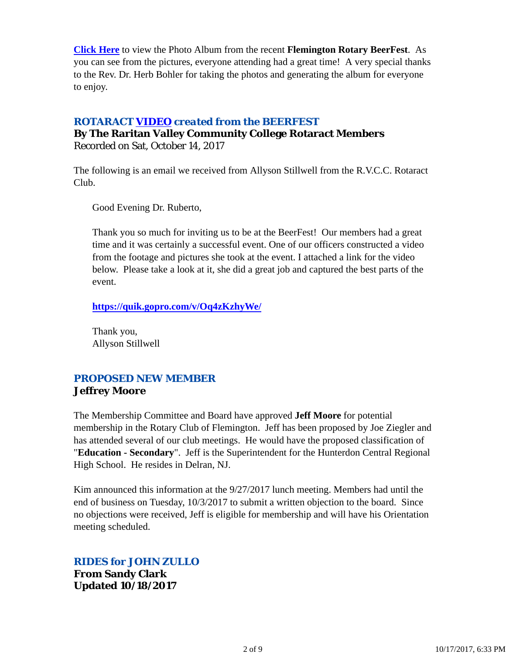**Click Here** to view the Photo Album from the recent **Flemington Rotary BeerFest**. As you can see from the pictures, everyone attending had a great time! A very special thanks to the Rev. Dr. Herb Bohler for taking the photos and generating the album for everyone to enjoy.

### *ROTARACT VIDEO created from the BEERFEST*

**By The Raritan Valley Community College Rotaract Members** Recorded on Sat, October 14, 2017

The following is an email we received from Allyson Stillwell from the R.V.C.C. Rotaract Club.

Good Evening Dr. Ruberto,

Thank you so much for inviting us to be at the BeerFest! Our members had a great time and it was certainly a successful event. One of our officers constructed a video from the footage and pictures she took at the event. I attached a link for the video below. Please take a look at it, she did a great job and captured the best parts of the event.

**https://quik.gopro.com/v/Oq4zKzhyWe/**

Thank you, Allyson Stillwell

### *PROPOSED NEW MEMBER* **Jeffrey Moore**

The Membership Committee and Board have approved **Jeff Moore** for potential membership in the Rotary Club of Flemington. Jeff has been proposed by Joe Ziegler and has attended several of our club meetings. He would have the proposed classification of "**Education - Secondary**". Jeff is the Superintendent for the Hunterdon Central Regional High School. He resides in Delran, NJ.

Kim announced this information at the 9/27/2017 lunch meeting. Members had until the end of business on Tuesday, 10/3/2017 to submit a written objection to the board. Since no objections were received, Jeff is eligible for membership and will have his Orientation meeting scheduled.

*RIDES for JOHN ZULLO*

**From Sandy Clark Updated 10/18/2017**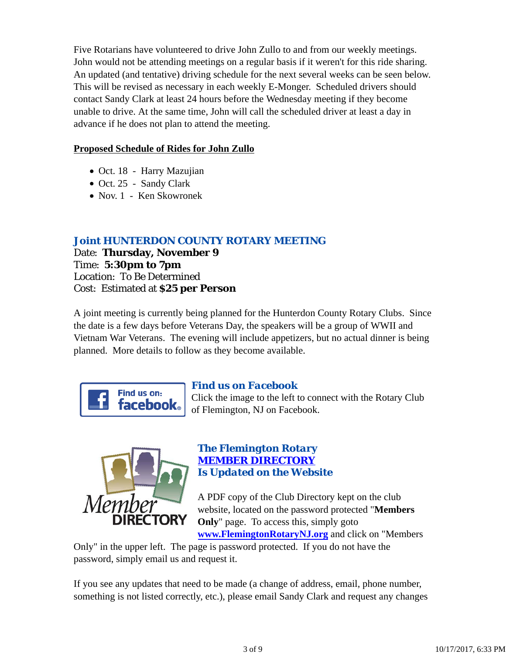Five Rotarians have volunteered to drive John Zullo to and from our weekly meetings. John would not be attending meetings on a regular basis if it weren't for this ride sharing. An updated (and tentative) driving schedule for the next several weeks can be seen below. This will be revised as necessary in each weekly E-Monger. Scheduled drivers should contact Sandy Clark at least 24 hours before the Wednesday meeting if they become unable to drive. At the same time, John will call the scheduled driver at least a day in advance if he does not plan to attend the meeting.

### **Proposed Schedule of Rides for John Zullo**

- Oct. 18 Harry Mazujian
- Oct. 25 Sandy Clark
- Nov. 1 Ken Skowronek

### *Joint HUNTERDON COUNTY ROTARY MEETING*

Date: **Thursday, November 9** Time: **5:30pm to 7pm** Location: To Be Determined Cost: Estimated at **\$25 per Person**

A joint meeting is currently being planned for the Hunterdon County Rotary Clubs. Since the date is a few days before Veterans Day, the speakers will be a group of WWII and Vietnam War Veterans. The evening will include appetizers, but no actual dinner is being planned. More details to follow as they become available.



### *Find us on Facebook*

Click the image to the left to connect with the Rotary Club of Flemington, NJ on Facebook.



### *The Flemington Rotary MEMBER DIRECTORY Is Updated on the Website*

A PDF copy of the Club Directory kept on the club website, located on the password protected "**Members Only**" page. To access this, simply goto **www.FlemingtonRotaryNJ.org** and click on "Members

Only" in the upper left. The page is password protected. If you do not have the password, simply email us and request it.

If you see any updates that need to be made (a change of address, email, phone number, something is not listed correctly, etc.), please email Sandy Clark and request any changes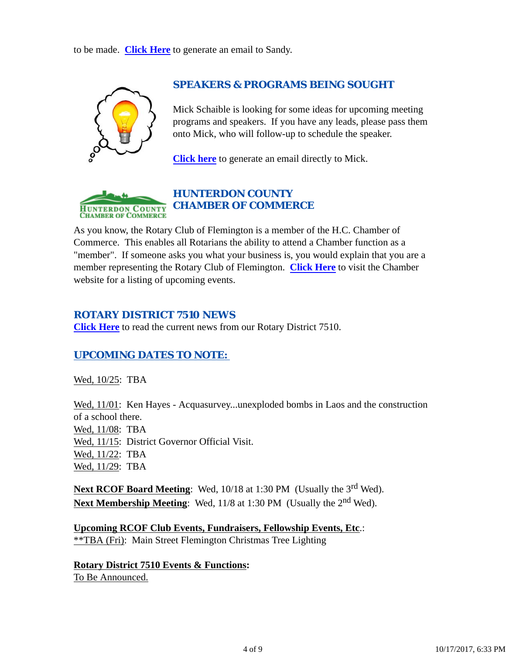to be made. **Click Here** to generate an email to Sandy.



### *SPEAKERS & PROGRAMS BEING SOUGHT*

Mick Schaible is looking for some ideas for upcoming meeting programs and speakers. If you have any leads, please pass them onto Mick, who will follow-up to schedule the speaker.

**Click here** to generate an email directly to Mick.



### *HUNTERDON COUNTY CHAMBER OF COMMERCE*

As you know, the Rotary Club of Flemington is a member of the H.C. Chamber of Commerce. This enables all Rotarians the ability to attend a Chamber function as a "member". If someone asks you what your business is, you would explain that you are a member representing the Rotary Club of Flemington. **Click Here** to visit the Chamber website for a listing of upcoming events.

### *ROTARY DISTRICT 7510 NEWS*

**Click Here** to read the current news from our Rotary District 7510.

### *UPCOMING DATES TO NOTE:*

Wed, 10/25: TBA

Wed,  $11/01$ : Ken Hayes - Acquasurvey...unexploded bombs in Laos and the construction of a school there. Wed, 11/08: TBA Wed, 11/15: District Governor Official Visit. Wed, 11/22: TBA Wed, 11/29: TBA

**Next RCOF Board Meeting:** Wed, 10/18 at 1:30 PM (Usually the 3<sup>rd</sup> Wed). **Next Membership Meeting:** Wed, 11/8 at 1:30 PM (Usually the 2<sup>nd</sup> Wed).

**Upcoming RCOF Club Events, Fundraisers, Fellowship Events, Etc**.: \*\*TBA (Fri): Main Street Flemington Christmas Tree Lighting

**Rotary District 7510 Events & Functions:** To Be Announced.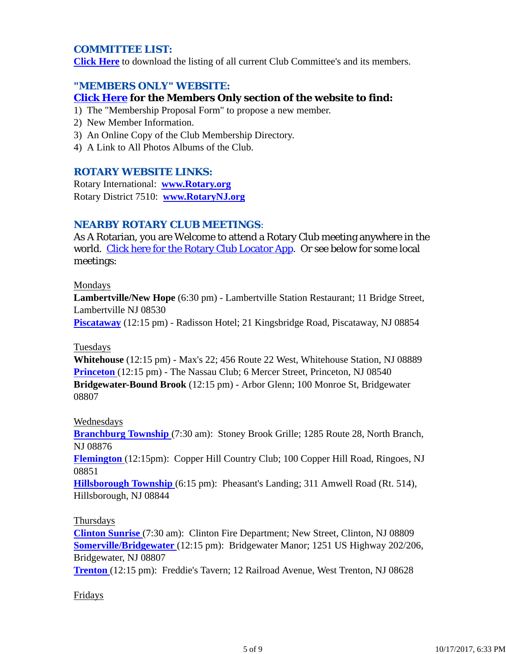### *COMMITTEE LIST:*

**Click Here** to download the listing of all current Club Committee's and its members.

### *"MEMBERS ONLY" WEBSITE:*

### **Click Here for the Members Only section of the website to find:**

- 1) The "Membership Proposal Form" to propose a new member.
- 2) New Member Information.
- 3) An Online Copy of the Club Membership Directory.
- 4) A Link to All Photos Albums of the Club.

### *ROTARY WEBSITE LINKS:*

Rotary International: **www.Rotary.org** Rotary District 7510: **www.RotaryNJ.org**

### *NEARBY ROTARY CLUB MEETINGS:*

As A Rotarian, you are Welcome to attend a Rotary Club meeting anywhere in the world. Click here for the Rotary Club Locator App. Or see below for some local meetings:

#### Mondays

**Lambertville/New Hope** (6:30 pm) - Lambertville Station Restaurant; 11 Bridge Street, Lambertville NJ 08530

**Piscataway** (12:15 pm) - Radisson Hotel; 21 Kingsbridge Road, Piscataway, NJ 08854

#### Tuesdays

**Whitehouse** (12:15 pm) - Max's 22; 456 Route 22 West, Whitehouse Station, NJ 08889 **Princeton** (12:15 pm) - The Nassau Club; 6 Mercer Street, Princeton, NJ 08540 **Bridgewater-Bound Brook** (12:15 pm) - Arbor Glenn; 100 Monroe St, Bridgewater 08807

### Wednesdays

**Branchburg Township** (7:30 am): Stoney Brook Grille; 1285 Route 28, North Branch, NJ 08876

**Flemington** (12:15pm): Copper Hill Country Club; 100 Copper Hill Road, Ringoes, NJ 08851

**Hillsborough Township** (6:15 pm): Pheasant's Landing; 311 Amwell Road (Rt. 514), Hillsborough, NJ 08844

### Thursdays

**Clinton Sunrise** (7:30 am): Clinton Fire Department; New Street, Clinton, NJ 08809 **Somerville/Bridgewater** (12:15 pm): Bridgewater Manor; 1251 US Highway 202/206, Bridgewater, NJ 08807

**Trenton** (12:15 pm): Freddie's Tavern; 12 Railroad Avenue, West Trenton, NJ 08628

### Fridays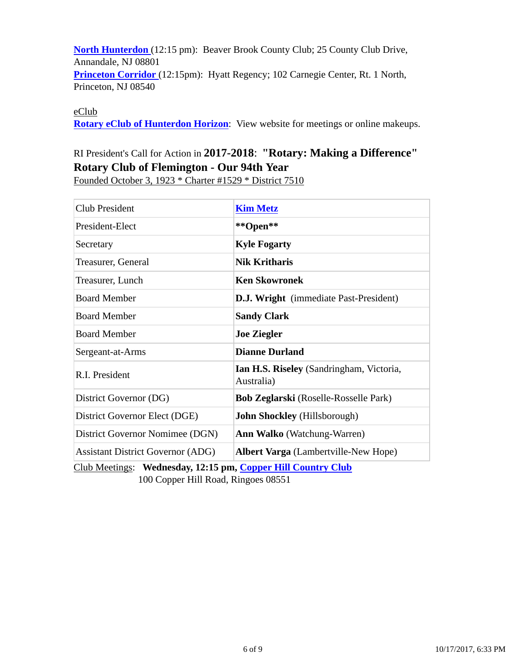**North Hunterdon** (12:15 pm): Beaver Brook County Club; 25 County Club Drive, Annandale, NJ 08801 **Princeton Corridor** (12:15pm): Hyatt Regency; 102 Carnegie Center, Rt. 1 North, Princeton, NJ 08540

eClub

**Rotary eClub of Hunterdon Horizon**: View website for meetings or online makeups.

## RI President's Call for Action in **2017-2018**: **"Rotary: Making a Difference" Rotary Club of Flemington - Our 94th Year**

Founded October 3, 1923 \* Charter #1529 \* District 7510

| <b>Club President</b>                    | <b>Kim Metz</b>                                               |  |
|------------------------------------------|---------------------------------------------------------------|--|
| President-Elect                          | **Open**                                                      |  |
| Secretary                                | <b>Kyle Fogarty</b>                                           |  |
| Treasurer, General                       | <b>Nik Kritharis</b>                                          |  |
| Treasurer, Lunch                         | <b>Ken Skowronek</b>                                          |  |
| <b>Board Member</b>                      | <b>D.J. Wright</b> (immediate Past-President)                 |  |
| <b>Board Member</b>                      | <b>Sandy Clark</b>                                            |  |
| <b>Board Member</b>                      | <b>Joe Ziegler</b>                                            |  |
| Sergeant-at-Arms                         | <b>Dianne Durland</b>                                         |  |
| R.I. President                           | <b>Ian H.S. Riseley</b> (Sandringham, Victoria,<br>Australia) |  |
| District Governor (DG)                   | <b>Bob Zeglarski</b> (Roselle-Rosselle Park)                  |  |
| District Governor Elect (DGE)            | <b>John Shockley</b> (Hillsborough)                           |  |
| District Governor Nomimee (DGN)          | <b>Ann Walko</b> (Watchung-Warren)                            |  |
| <b>Assistant District Governor (ADG)</b> | <b>Albert Varga</b> (Lambertville-New Hope)                   |  |

Club Meetings: **Wednesday, 12:15 pm, Copper Hill Country Club** 100 Copper Hill Road, Ringoes 08551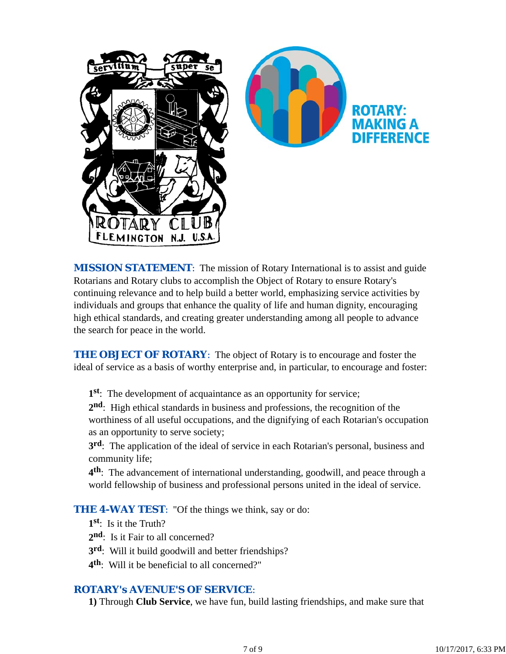

*MISSION STATEMENT*: The mission of Rotary International is to assist and guide Rotarians and Rotary clubs to accomplish the Object of Rotary to ensure Rotary's continuing relevance and to help build a better world, emphasizing service activities by individuals and groups that enhance the quality of life and human dignity, encouraging high ethical standards, and creating greater understanding among all people to advance the search for peace in the world.

**THE OBJECT OF ROTARY:** The object of Rotary is to encourage and foster the ideal of service as a basis of worthy enterprise and, in particular, to encourage and foster:

**1st**: The development of acquaintance as an opportunity for service;

**2nd**: High ethical standards in business and professions, the recognition of the worthiness of all useful occupations, and the dignifying of each Rotarian's occupation as an opportunity to serve society;

**3rd**: The application of the ideal of service in each Rotarian's personal, business and community life;

**4th**: The advancement of international understanding, goodwill, and peace through a world fellowship of business and professional persons united in the ideal of service.

**THE 4-WAY TEST:** "Of the things we think, say or do:

- **1st**: Is it the Truth?
- 2<sup>nd</sup>: Is it Fair to all concerned?
- **3rd**: Will it build goodwill and better friendships?
- **4th**: Will it be beneficial to all concerned?"

### *ROTARY's AVENUE'S OF SERVICE*:

**1)** Through **Club Service**, we have fun, build lasting friendships, and make sure that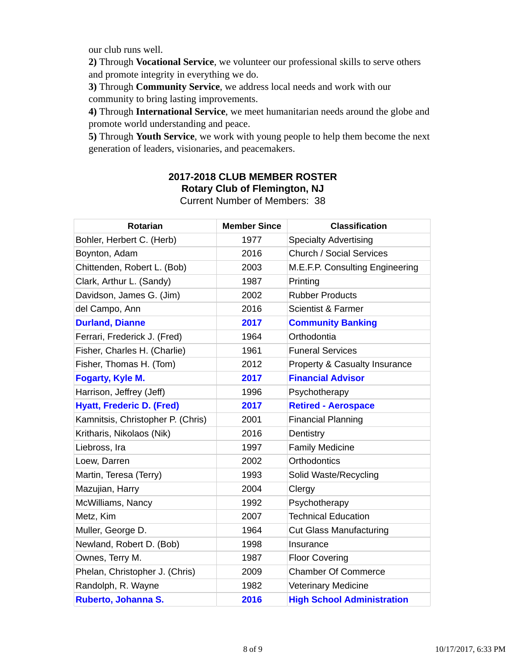our club runs well.

**2)** Through **Vocational Service**, we volunteer our professional skills to serve others and promote integrity in everything we do.

**3)** Through **Community Service**, we address local needs and work with our community to bring lasting improvements.

**4)** Through **International Service**, we meet humanitarian needs around the globe and promote world understanding and peace.

**5)** Through **Youth Service**, we work with young people to help them become the next generation of leaders, visionaries, and peacemakers.

# **2017-2018 CLUB MEMBER ROSTER Rotary Club of Flemington, NJ**

|  | <b>Current Number of Members: 38</b> |  |
|--|--------------------------------------|--|
|  |                                      |  |

| <b>Rotarian</b>                   | <b>Member Since</b> | <b>Classification</b>                    |
|-----------------------------------|---------------------|------------------------------------------|
| Bohler, Herbert C. (Herb)         | 1977                | <b>Specialty Advertising</b>             |
| Boynton, Adam                     | 2016                | <b>Church / Social Services</b>          |
| Chittenden, Robert L. (Bob)       | 2003                | M.E.F.P. Consulting Engineering          |
| Clark, Arthur L. (Sandy)          | 1987                | Printing                                 |
| Davidson, James G. (Jim)          | 2002                | <b>Rubber Products</b>                   |
| del Campo, Ann                    | 2016                | <b>Scientist &amp; Farmer</b>            |
| <b>Durland, Dianne</b>            | 2017                | <b>Community Banking</b>                 |
| Ferrari, Frederick J. (Fred)      | 1964                | Orthodontia                              |
| Fisher, Charles H. (Charlie)      | 1961                | <b>Funeral Services</b>                  |
| Fisher, Thomas H. (Tom)           | 2012                | <b>Property &amp; Casualty Insurance</b> |
| Fogarty, Kyle M.                  | 2017                | <b>Financial Advisor</b>                 |
| Harrison, Jeffrey (Jeff)          | 1996                | Psychotherapy                            |
| <b>Hyatt, Frederic D. (Fred)</b>  | 2017                | <b>Retired - Aerospace</b>               |
| Kamnitsis, Christopher P. (Chris) | 2001                | <b>Financial Planning</b>                |
| Kritharis, Nikolaos (Nik)         | 2016                | Dentistry                                |
| Liebross, Ira                     | 1997                | <b>Family Medicine</b>                   |
| Loew, Darren                      | 2002                | <b>Orthodontics</b>                      |
| Martin, Teresa (Terry)            | 1993                | Solid Waste/Recycling                    |
| Mazujian, Harry                   | 2004                | Clergy                                   |
| McWilliams, Nancy                 | 1992                | Psychotherapy                            |
| Metz, Kim                         | 2007                | <b>Technical Education</b>               |
| Muller, George D.                 | 1964                | <b>Cut Glass Manufacturing</b>           |
| Newland, Robert D. (Bob)          | 1998                | Insurance                                |
| Ownes, Terry M.                   | 1987                | <b>Floor Covering</b>                    |
| Phelan, Christopher J. (Chris)    | 2009                | <b>Chamber Of Commerce</b>               |
| Randolph, R. Wayne                | 1982                | <b>Veterinary Medicine</b>               |
| Ruberto, Johanna S.               | 2016                | <b>High School Administration</b>        |